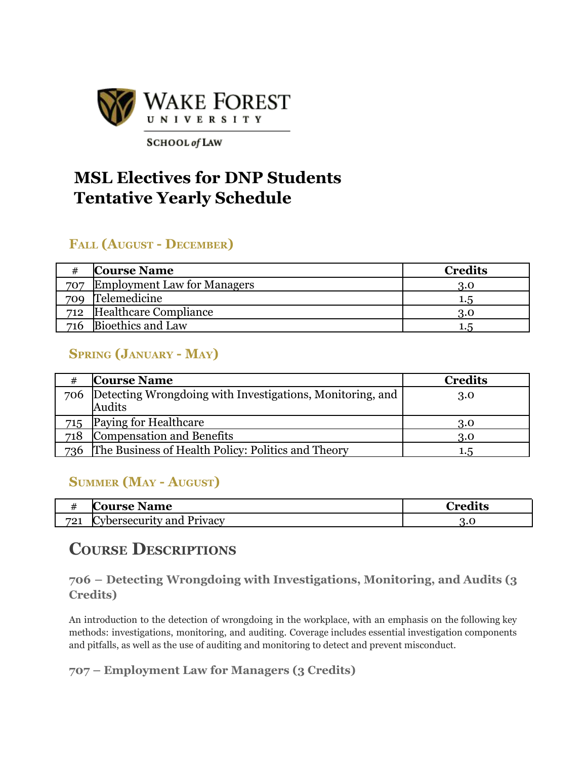

**SCHOOL** of LAW

# **MSL Electives for DNP Students Tentative Yearly Schedule**

## **FALL (AUGUST - DECEMBER)**

|     | <b>Course Name</b>                 | <b>Credits</b> |
|-----|------------------------------------|----------------|
| 707 | <b>Employment Law for Managers</b> | 3.0            |
| 709 | Telemedicine                       | 1.5            |
| 712 | Healthcare Compliance              | 3.0            |
| 716 | Bioethics and Law                  |                |

## **SPRING (JANUARY - MAY)**

|     | <b>Course Name</b>                                            | <b>Credits</b> |
|-----|---------------------------------------------------------------|----------------|
|     | 706 Detecting Wrongdoing with Investigations, Monitoring, and | 3.0            |
|     | Audits                                                        |                |
| 715 | <b>Paying for Healthcare</b>                                  | 3.0            |
| 718 | Compensation and Benefits                                     | 3.0            |
| 736 | The Business of Health Policy: Politics and Theory            | 1.5            |

## **SUMMER (MAY - AUGUST)**

| $\cdot$         | К<br><b>Course Name</b>                   | $\gamma_{\mathbf{n}\alpha}$ dita |
|-----------------|-------------------------------------------|----------------------------------|
| 791<br>$\leq$ 1 | $\mathsf{C}$<br>Cybersecurity and Privacy | า.บ                              |

## **COURSE DESCRIPTIONS**

#### **706 – Detecting Wrongdoing with Investigations, Monitoring, and Audits (3 Credits)**

An introduction to the detection of wrongdoing in the workplace, with an emphasis on the following key methods: investigations, monitoring, and auditing. Coverage includes essential investigation components and pitfalls, as well as the use of auditing and monitoring to detect and prevent misconduct.

**707 – Employment Law for Managers (3 Credits)**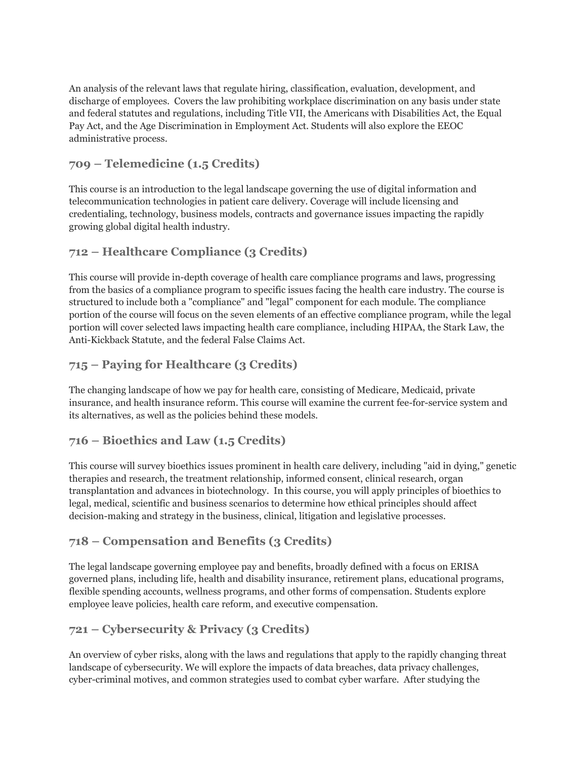An analysis of the relevant laws that regulate hiring, classification, evaluation, development, and discharge of employees. Covers the law prohibiting workplace discrimination on any basis under state and federal statutes and regulations, including Title VII, the Americans with Disabilities Act, the Equal Pay Act, and the Age Discrimination in Employment Act. Students will also explore the EEOC administrative process.

#### **709 – Telemedicine (1.5 Credits)**

This course is an introduction to the legal landscape governing the use of digital information and telecommunication technologies in patient care delivery. Coverage will include licensing and credentialing, technology, business models, contracts and governance issues impacting the rapidly growing global digital health industry.

#### **712 – Healthcare Compliance (3 Credits)**

This course will provide in-depth coverage of health care compliance programs and laws, progressing from the basics of a compliance program to specific issues facing the health care industry. The course is structured to include both a "compliance" and "legal" component for each module. The compliance portion of the course will focus on the seven elements of an effective compliance program, while the legal portion will cover selected laws impacting health care compliance, including HIPAA, the Stark Law, the Anti-Kickback Statute, and the federal False Claims Act.

#### **715 – Paying for Healthcare (3 Credits)**

The changing landscape of how we pay for health care, consisting of Medicare, Medicaid, private insurance, and health insurance reform. This course will examine the current fee-for-service system and its alternatives, as well as the policies behind these models.

#### **716 – Bioethics and Law (1.5 Credits)**

This course will survey bioethics issues prominent in health care delivery, including "aid in dying," genetic therapies and research, the treatment relationship, informed consent, clinical research, organ transplantation and advances in biotechnology. In this course, you will apply principles of bioethics to legal, medical, scientific and business scenarios to determine how ethical principles should affect decision-making and strategy in the business, clinical, litigation and legislative processes.

#### **718 – Compensation and Benefits (3 Credits)**

The legal landscape governing employee pay and benefits, broadly defined with a focus on ERISA governed plans, including life, health and disability insurance, retirement plans, educational programs, flexible spending accounts, wellness programs, and other forms of compensation. Students explore employee leave policies, health care reform, and executive compensation.

#### **721 – Cybersecurity & Privacy (3 Credits)**

An overview of cyber risks, along with the laws and regulations that apply to the rapidly changing threat landscape of cybersecurity. We will explore the impacts of data breaches, data privacy challenges, cyber-criminal motives, and common strategies used to combat cyber warfare. After studying the